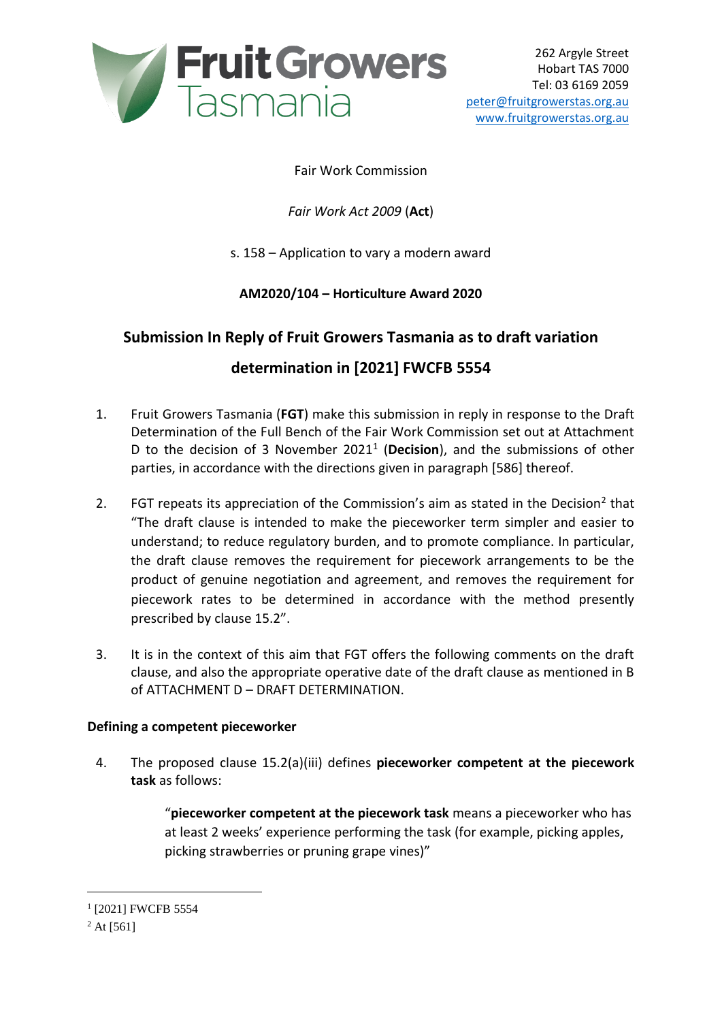

### Fair Work Commission

*Fair Work Act 2009* (**Act**)

s. 158 – Application to vary a modern award

**AM2020/104 – Horticulture Award 2020**

## **Submission In Reply of Fruit Growers Tasmania as to draft variation**

# **determination in [2021] FWCFB 5554**

- 1. Fruit Growers Tasmania (**FGT**) make this submission in reply in response to the Draft Determination of the Full Bench of the Fair Work Commission set out at Attachment D to the decision of 3 November 2021<sup>1</sup> (Decision), and the submissions of other parties, in accordance with the directions given in paragraph [586] thereof.
- 2. FGT repeats its appreciation of the Commission's aim as stated in the Decision<sup>2</sup> that "The draft clause is intended to make the pieceworker term simpler and easier to understand; to reduce regulatory burden, and to promote compliance. In particular, the draft clause removes the requirement for piecework arrangements to be the product of genuine negotiation and agreement, and removes the requirement for piecework rates to be determined in accordance with the method presently prescribed by clause 15.2".
- 3. It is in the context of this aim that FGT offers the following comments on the draft clause, and also the appropriate operative date of the draft clause as mentioned in B of ATTACHMENT D – DRAFT DETERMINATION.

#### **Defining a competent pieceworker**

4. The proposed clause 15.2(a)(iii) defines **pieceworker competent at the piecework task** as follows:

> "**pieceworker competent at the piecework task** means a pieceworker who has at least 2 weeks' experience performing the task (for example, picking apples, picking strawberries or pruning grape vines)"

1

<sup>&</sup>lt;sup>1</sup> [2021] FWCFB 5554

 $^{2}$  At [561]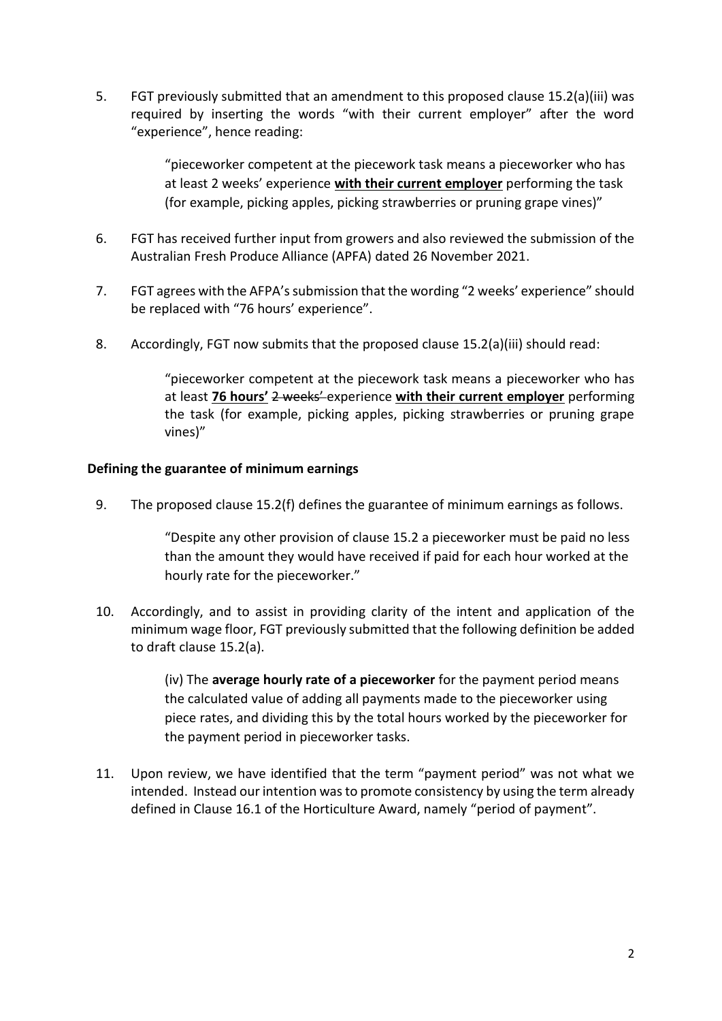5. FGT previously submitted that an amendment to this proposed clause 15.2(a)(iii) was required by inserting the words "with their current employer" after the word "experience", hence reading:

> "pieceworker competent at the piecework task means a pieceworker who has at least 2 weeks' experience **with their current employer** performing the task (for example, picking apples, picking strawberries or pruning grape vines)"

- 6. FGT has received further input from growers and also reviewed the submission of the Australian Fresh Produce Alliance (APFA) dated 26 November 2021.
- 7. FGT agrees with the AFPA's submission that the wording "2 weeks' experience" should be replaced with "76 hours' experience".
- 8. Accordingly, FGT now submits that the proposed clause 15.2(a)(iii) should read:

"pieceworker competent at the piecework task means a pieceworker who has at least **76 hours'** 2 weeks' experience **with their current employer** performing the task (for example, picking apples, picking strawberries or pruning grape vines)"

#### **Defining the guarantee of minimum earnings**

9. The proposed clause 15.2(f) defines the guarantee of minimum earnings as follows.

"Despite any other provision of clause 15.2 a pieceworker must be paid no less than the amount they would have received if paid for each hour worked at the hourly rate for the pieceworker."

10. Accordingly, and to assist in providing clarity of the intent and application of the minimum wage floor, FGT previously submitted that the following definition be added to draft clause 15.2(a).

> (iv) The **average hourly rate of a pieceworker** for the payment period means the calculated value of adding all payments made to the pieceworker using piece rates, and dividing this by the total hours worked by the pieceworker for the payment period in pieceworker tasks.

11. Upon review, we have identified that the term "payment period" was not what we intended. Instead our intention was to promote consistency by using the term already defined in Clause 16.1 of the Horticulture Award, namely "period of payment".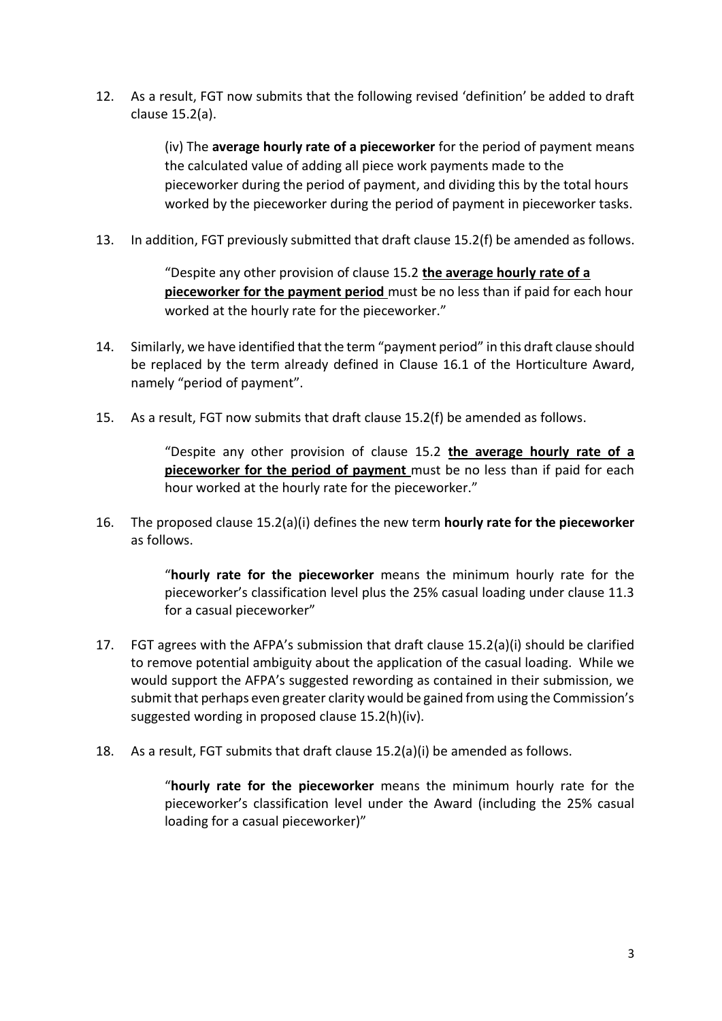12. As a result, FGT now submits that the following revised 'definition' be added to draft clause 15.2(a).

> (iv) The **average hourly rate of a pieceworker** for the period of payment means the calculated value of adding all piece work payments made to the pieceworker during the period of payment, and dividing this by the total hours worked by the pieceworker during the period of payment in pieceworker tasks.

13. In addition, FGT previously submitted that draft clause 15.2(f) be amended as follows.

"Despite any other provision of clause 15.2 **the average hourly rate of a pieceworker for the payment period** must be no less than if paid for each hour worked at the hourly rate for the pieceworker."

- 14. Similarly, we have identified that the term "payment period" in this draft clause should be replaced by the term already defined in Clause 16.1 of the Horticulture Award, namely "period of payment".
- 15. As a result, FGT now submits that draft clause 15.2(f) be amended as follows.

"Despite any other provision of clause 15.2 **the average hourly rate of a pieceworker for the period of payment** must be no less than if paid for each hour worked at the hourly rate for the pieceworker."

16. The proposed clause 15.2(a)(i) defines the new term **hourly rate for the pieceworker**  as follows.

> "**hourly rate for the pieceworker** means the minimum hourly rate for the pieceworker's classification level plus the 25% casual loading under clause 11.3 for a casual pieceworker"

- 17. FGT agrees with the AFPA's submission that draft clause 15.2(a)(i) should be clarified to remove potential ambiguity about the application of the casual loading. While we would support the AFPA's suggested rewording as contained in their submission, we submit that perhaps even greater clarity would be gained from using the Commission's suggested wording in proposed clause 15.2(h)(iv).
- 18. As a result, FGT submits that draft clause 15.2(a)(i) be amended as follows.

"**hourly rate for the pieceworker** means the minimum hourly rate for the pieceworker's classification level under the Award (including the 25% casual loading for a casual pieceworker)"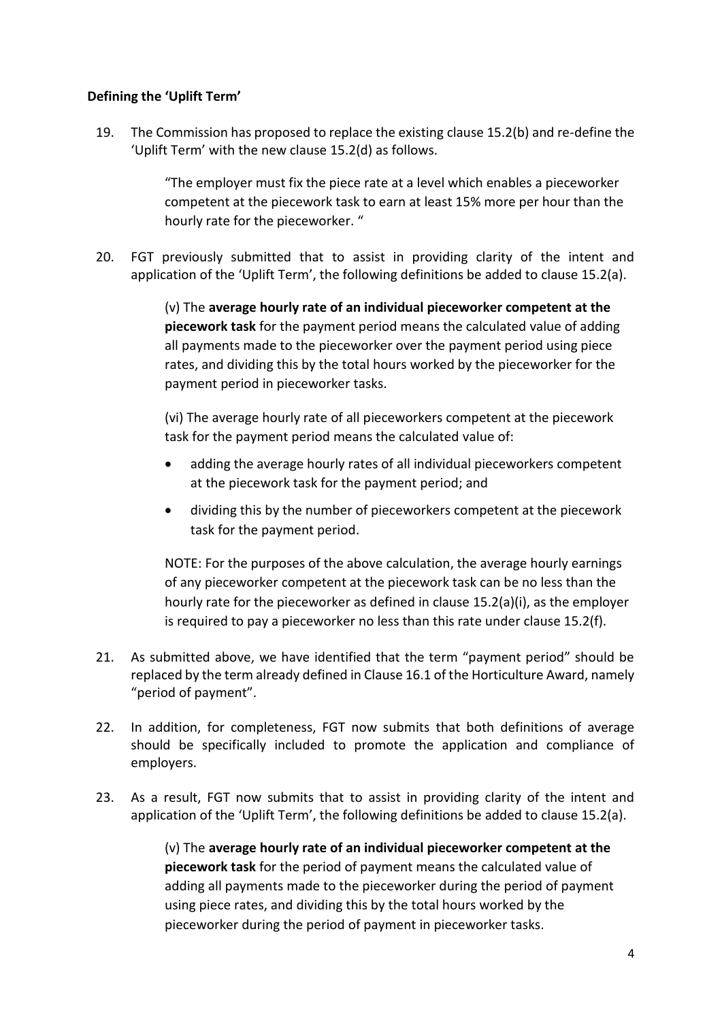#### **Defining the 'Uplift Term'**

19. The Commission has proposed to replace the existing clause 15.2(b) and re-define the 'Uplift Term' with the new clause 15.2(d) as follows.

> "The employer must fix the piece rate at a level which enables a pieceworker competent at the piecework task to earn at least 15% more per hour than the hourly rate for the pieceworker. "

20. FGT previously submitted that to assist in providing clarity of the intent and application of the 'Uplift Term', the following definitions be added to clause 15.2(a).

> (v) The **average hourly rate of an individual pieceworker competent at the piecework task** for the payment period means the calculated value of adding all payments made to the pieceworker over the payment period using piece rates, and dividing this by the total hours worked by the pieceworker for the payment period in pieceworker tasks.

(vi) The average hourly rate of all pieceworkers competent at the piecework task for the payment period means the calculated value of:

- adding the average hourly rates of all individual pieceworkers competent at the piecework task for the payment period; and
- dividing this by the number of pieceworkers competent at the piecework task for the payment period.

NOTE: For the purposes of the above calculation, the average hourly earnings of any pieceworker competent at the piecework task can be no less than the hourly rate for the pieceworker as defined in clause 15.2(a)(i), as the employer is required to pay a pieceworker no less than this rate under clause 15.2(f).

- 21. As submitted above, we have identified that the term "payment period" should be replaced by the term already defined in Clause 16.1 of the Horticulture Award, namely "period of payment".
- 22. In addition, for completeness, FGT now submits that both definitions of average should be specifically included to promote the application and compliance of employers.
- 23. As a result, FGT now submits that to assist in providing clarity of the intent and application of the 'Uplift Term', the following definitions be added to clause 15.2(a).

(v) The **average hourly rate of an individual pieceworker competent at the piecework task** for the period of payment means the calculated value of adding all payments made to the pieceworker during the period of payment using piece rates, and dividing this by the total hours worked by the pieceworker during the period of payment in pieceworker tasks.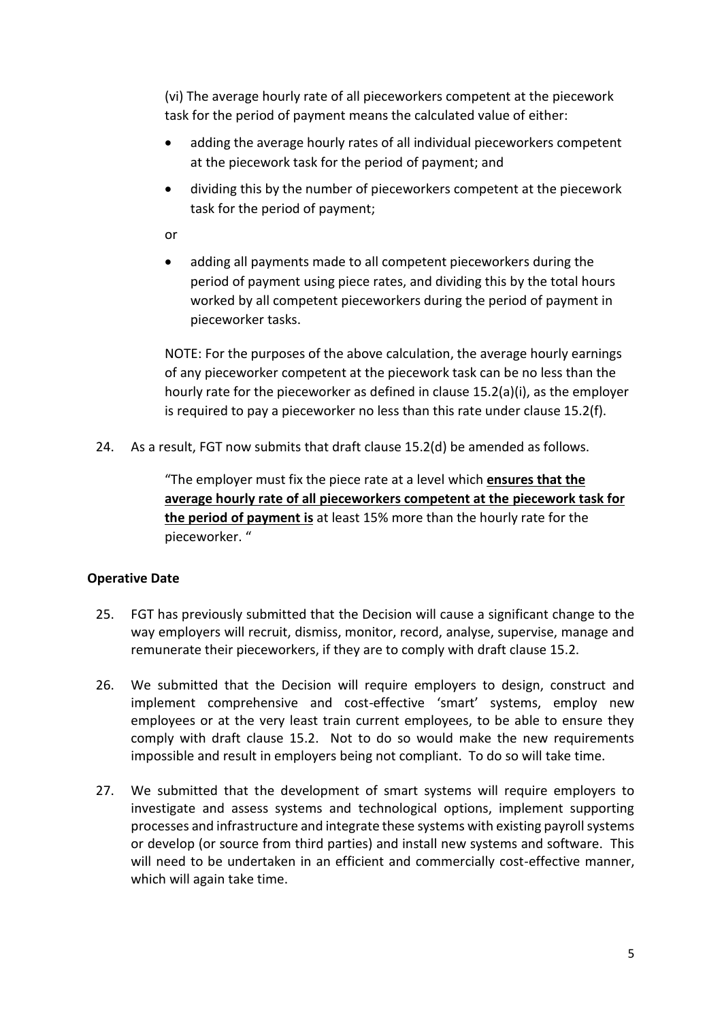(vi) The average hourly rate of all pieceworkers competent at the piecework task for the period of payment means the calculated value of either:

- adding the average hourly rates of all individual pieceworkers competent at the piecework task for the period of payment; and
- dividing this by the number of pieceworkers competent at the piecework task for the period of payment;

or

 adding all payments made to all competent pieceworkers during the period of payment using piece rates, and dividing this by the total hours worked by all competent pieceworkers during the period of payment in pieceworker tasks.

NOTE: For the purposes of the above calculation, the average hourly earnings of any pieceworker competent at the piecework task can be no less than the hourly rate for the pieceworker as defined in clause 15.2(a)(i), as the employer is required to pay a pieceworker no less than this rate under clause 15.2(f).

24. As a result, FGT now submits that draft clause 15.2(d) be amended as follows.

"The employer must fix the piece rate at a level which **ensures that the average hourly rate of all pieceworkers competent at the piecework task for the period of payment is** at least 15% more than the hourly rate for the pieceworker. "

## **Operative Date**

- 25. FGT has previously submitted that the Decision will cause a significant change to the way employers will recruit, dismiss, monitor, record, analyse, supervise, manage and remunerate their pieceworkers, if they are to comply with draft clause 15.2.
- 26. We submitted that the Decision will require employers to design, construct and implement comprehensive and cost-effective 'smart' systems, employ new employees or at the very least train current employees, to be able to ensure they comply with draft clause 15.2. Not to do so would make the new requirements impossible and result in employers being not compliant. To do so will take time.
- 27. We submitted that the development of smart systems will require employers to investigate and assess systems and technological options, implement supporting processes and infrastructure and integrate these systems with existing payroll systems or develop (or source from third parties) and install new systems and software. This will need to be undertaken in an efficient and commercially cost-effective manner, which will again take time.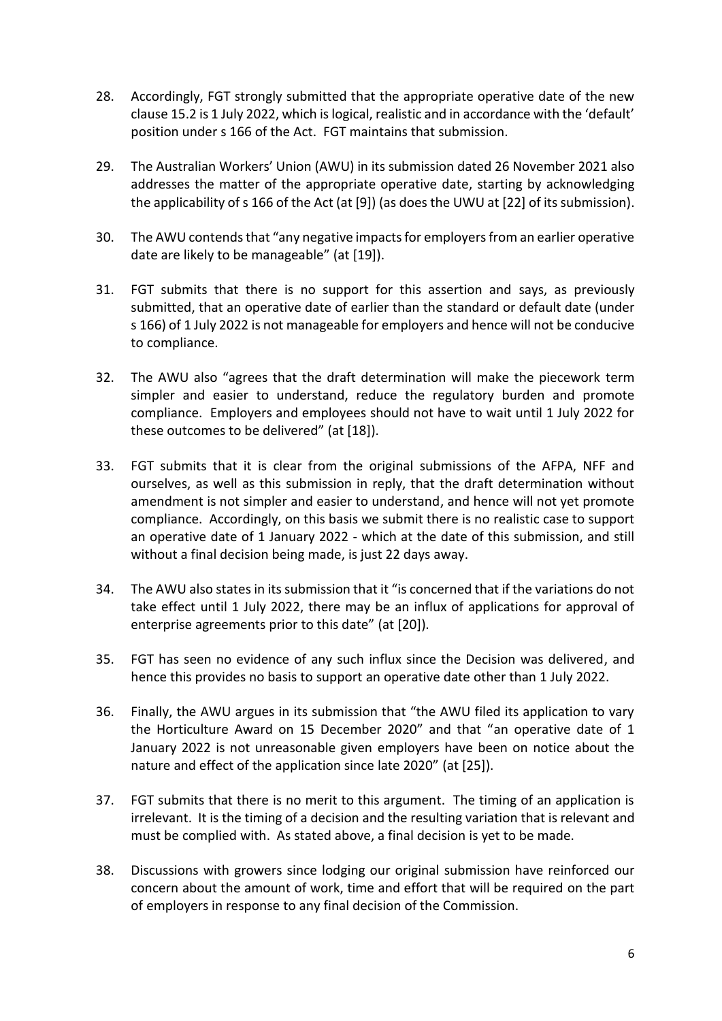- 28. Accordingly, FGT strongly submitted that the appropriate operative date of the new clause 15.2 is 1 July 2022, which is logical, realistic and in accordance with the 'default' position under s 166 of the Act. FGT maintains that submission.
- 29. The Australian Workers' Union (AWU) in its submission dated 26 November 2021 also addresses the matter of the appropriate operative date, starting by acknowledging the applicability of s 166 of the Act (at [9]) (as does the UWU at [22] of its submission).
- 30. The AWU contends that "any negative impacts for employers from an earlier operative date are likely to be manageable" (at [19]).
- 31. FGT submits that there is no support for this assertion and says, as previously submitted, that an operative date of earlier than the standard or default date (under s 166) of 1 July 2022 is not manageable for employers and hence will not be conducive to compliance.
- 32. The AWU also "agrees that the draft determination will make the piecework term simpler and easier to understand, reduce the regulatory burden and promote compliance. Employers and employees should not have to wait until 1 July 2022 for these outcomes to be delivered" (at [18]).
- 33. FGT submits that it is clear from the original submissions of the AFPA, NFF and ourselves, as well as this submission in reply, that the draft determination without amendment is not simpler and easier to understand, and hence will not yet promote compliance. Accordingly, on this basis we submit there is no realistic case to support an operative date of 1 January 2022 - which at the date of this submission, and still without a final decision being made, is just 22 days away.
- 34. The AWU also states in its submission that it "is concerned that if the variations do not take effect until 1 July 2022, there may be an influx of applications for approval of enterprise agreements prior to this date" (at [20]).
- 35. FGT has seen no evidence of any such influx since the Decision was delivered, and hence this provides no basis to support an operative date other than 1 July 2022.
- 36. Finally, the AWU argues in its submission that "the AWU filed its application to vary the Horticulture Award on 15 December 2020" and that "an operative date of 1 January 2022 is not unreasonable given employers have been on notice about the nature and effect of the application since late 2020" (at [25]).
- 37. FGT submits that there is no merit to this argument. The timing of an application is irrelevant. It is the timing of a decision and the resulting variation that is relevant and must be complied with. As stated above, a final decision is yet to be made.
- 38. Discussions with growers since lodging our original submission have reinforced our concern about the amount of work, time and effort that will be required on the part of employers in response to any final decision of the Commission.